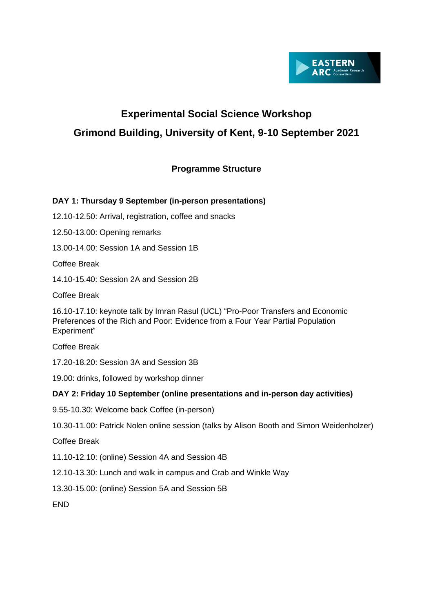

# **Experimental Social Science Workshop Grimond Building, University of Kent, 9-10 September 2021**

# **Programme Structure**

# **DAY 1: Thursday 9 September (in-person presentations)**

12.10-12.50: Arrival, registration, coffee and snacks

12.50-13.00: Opening remarks

13.00-14.00: Session 1A and Session 1B

Coffee Break

14.10-15.40: Session 2A and Session 2B

Coffee Break

16.10-17.10: keynote talk by Imran Rasul (UCL) "Pro-Poor Transfers and Economic Preferences of the Rich and Poor: Evidence from a Four Year Partial Population Experiment"

Coffee Break

17.20-18.20: Session 3A and Session 3B

19.00: drinks, followed by workshop dinner

## **DAY 2: Friday 10 September (online presentations and in-person day activities)**

9.55-10.30: Welcome back Coffee (in-person)

10.30-11.00: Patrick Nolen online session (talks by Alison Booth and Simon Weidenholzer)

Coffee Break

11.10-12.10: (online) Session 4A and Session 4B

12.10-13.30: Lunch and walk in campus and Crab and Winkle Way

13.30-15.00: (online) Session 5A and Session 5B

END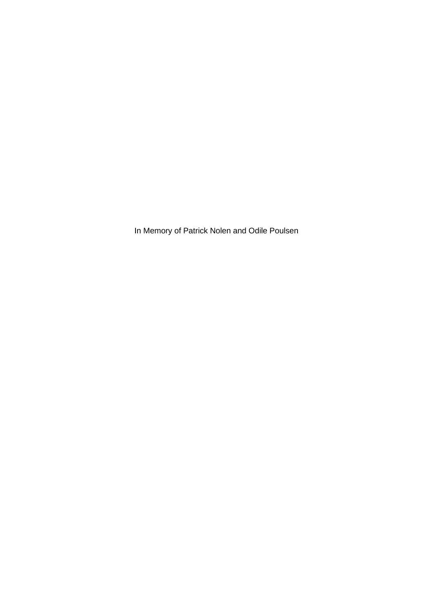In Memory of Patrick Nolen and Odile Poulsen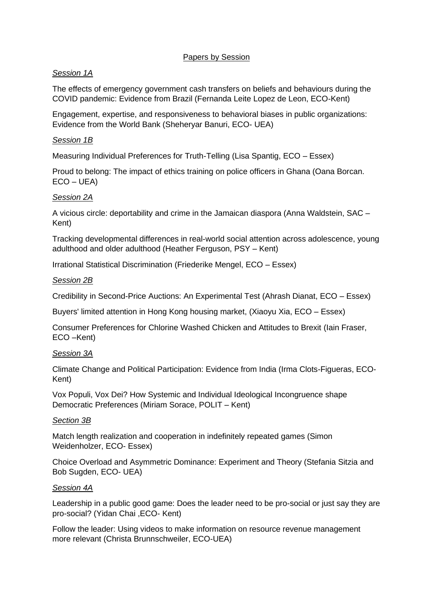## Papers by Session

## *Session 1A*

The effects of emergency government cash transfers on beliefs and behaviours during the COVID pandemic: Evidence from Brazil (Fernanda Leite Lopez de Leon, ECO-Kent)

Engagement, expertise, and responsiveness to behavioral biases in public organizations: Evidence from the World Bank (Sheheryar Banuri, ECO- UEA)

## *Session 1B*

Measuring Individual Preferences for Truth-Telling (Lisa Spantig, ECO – Essex)

Proud to belong: The impact of ethics training on police officers in Ghana (Oana Borcan.  $ECO - UEA$ 

## *Session 2A*

A vicious circle: deportability and crime in the Jamaican diaspora (Anna Waldstein, SAC – Kent)

Tracking developmental differences in real-world social attention across adolescence, young adulthood and older adulthood (Heather Ferguson, PSY – Kent)

Irrational Statistical Discrimination (Friederike Mengel, ECO – Essex)

## *Session 2B*

Credibility in Second-Price Auctions: An Experimental Test (Ahrash Dianat, ECO – Essex)

Buyers' limited attention in Hong Kong housing market, (Xiaoyu Xia, ECO – Essex)

Consumer Preferences for Chlorine Washed Chicken and Attitudes to Brexit (Iain Fraser, ECO –Kent)

## *Session 3A*

Climate Change and Political Participation: Evidence from India (Irma Clots-Figueras, ECO-Kent)

Vox Populi, Vox Dei? How Systemic and Individual Ideological Incongruence shape Democratic Preferences (Miriam Sorace, POLIT – Kent)

## *Section 3B*

Match length realization and cooperation in indefinitely repeated games (Simon Weidenholzer, ECO- Essex)

Choice Overload and Asymmetric Dominance: Experiment and Theory (Stefania Sitzia and Bob Sugden, ECO- UEA)

## *Session 4A*

Leadership in a public good game: Does the leader need to be pro-social or just say they are pro-social? (Yidan Chai ,ECO- Kent)

Follow the leader: Using videos to make information on resource revenue management more relevant (Christa Brunnschweiler, ECO-UEA)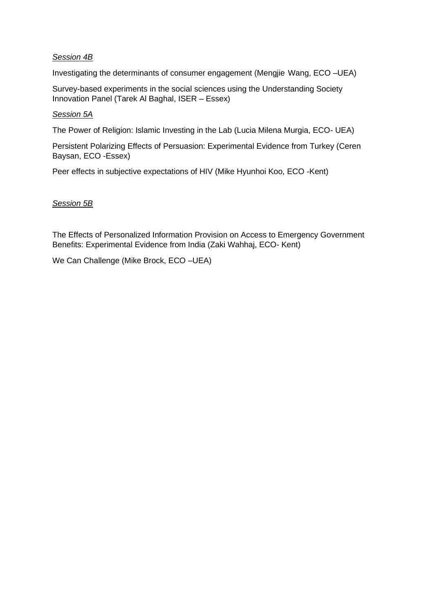## *Session 4B*

Investigating the determinants of consumer engagement (Mengjie Wang, ECO –UEA)

Survey-based experiments in the social sciences using the Understanding Society Innovation Panel (Tarek Al Baghal, ISER – Essex)

#### *Session 5A*

The Power of Religion: Islamic Investing in the Lab (Lucia Milena Murgia, ECO- UEA)

Persistent Polarizing Effects of Persuasion: Experimental Evidence from Turkey (Ceren Baysan, ECO -Essex)

Peer effects in subjective expectations of HIV (Mike Hyunhoi Koo, ECO -Kent)

#### *Session 5B*

The Effects of Personalized Information Provision on Access to Emergency Government Benefits: Experimental Evidence from India (Zaki Wahhaj, ECO- Kent)

We Can Challenge (Mike Brock, ECO –UEA)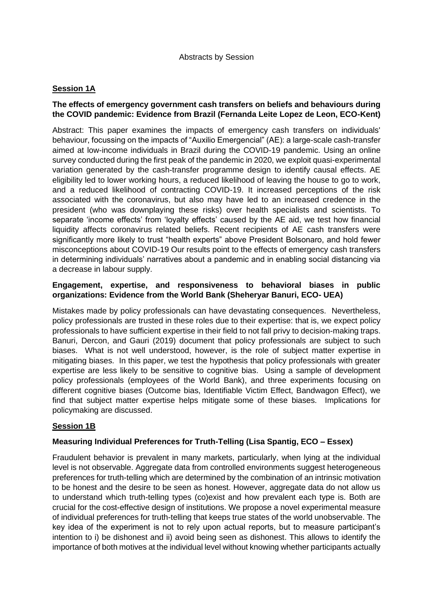## **Session 1A**

## **The effects of emergency government cash transfers on beliefs and behaviours during the COVID pandemic: Evidence from Brazil (Fernanda Leite Lopez de Leon, ECO-Kent)**

Abstract: This paper examines the impacts of emergency cash transfers on individuals' behaviour, focussing on the impacts of "Auxilio Emergencial" (AE): a large-scale cash-transfer aimed at low-income individuals in Brazil during the COVID-19 pandemic. Using an online survey conducted during the first peak of the pandemic in 2020, we exploit quasi-experimental variation generated by the cash-transfer programme design to identify causal effects. AE eligibility led to lower working hours, a reduced likelihood of leaving the house to go to work, and a reduced likelihood of contracting COVID-19. It increased perceptions of the risk associated with the coronavirus, but also may have led to an increased credence in the president (who was downplaying these risks) over health specialists and scientists. To separate 'income effects' from 'loyalty effects' caused by the AE aid, we test how financial liquidity affects coronavirus related beliefs. Recent recipients of AE cash transfers were significantly more likely to trust "health experts" above President Bolsonaro, and hold fewer misconceptions about COVID-19 Our results point to the effects of emergency cash transfers in determining individuals' narratives about a pandemic and in enabling social distancing via a decrease in labour supply.

## **Engagement, expertise, and responsiveness to behavioral biases in public organizations: Evidence from the World Bank (Sheheryar Banuri, ECO- UEA)**

Mistakes made by policy professionals can have devastating consequences. Nevertheless, policy professionals are trusted in these roles due to their expertise: that is, we expect policy professionals to have sufficient expertise in their field to not fall privy to decision-making traps. Banuri, Dercon, and Gauri (2019) document that policy professionals are subject to such biases. What is not well understood, however, is the role of subject matter expertise in mitigating biases. In this paper, we test the hypothesis that policy professionals with greater expertise are less likely to be sensitive to cognitive bias. Using a sample of development policy professionals (employees of the World Bank), and three experiments focusing on different cognitive biases (Outcome bias, Identifiable Victim Effect, Bandwagon Effect), we find that subject matter expertise helps mitigate some of these biases. Implications for policymaking are discussed.

## **Session 1B**

## **Measuring Individual Preferences for Truth-Telling (Lisa Spantig, ECO – Essex)**

Fraudulent behavior is prevalent in many markets, particularly, when lying at the individual level is not observable. Aggregate data from controlled environments suggest heterogeneous preferences for truth-telling which are determined by the combination of an intrinsic motivation to be honest and the desire to be seen as honest. However, aggregate data do not allow us to understand which truth-telling types (co)exist and how prevalent each type is. Both are crucial for the cost-effective design of institutions. We propose a novel experimental measure of individual preferences for truth-telling that keeps true states of the world unobservable. The key idea of the experiment is not to rely upon actual reports, but to measure participant's intention to i) be dishonest and ii) avoid being seen as dishonest. This allows to identify the importance of both motives at the individual level without knowing whether participants actually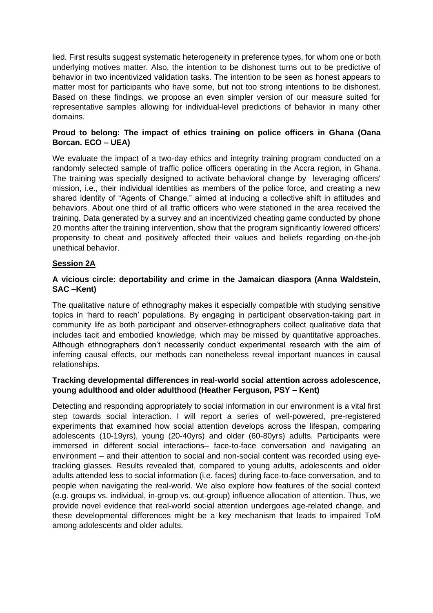lied. First results suggest systematic heterogeneity in preference types, for whom one or both underlying motives matter. Also, the intention to be dishonest turns out to be predictive of behavior in two incentivized validation tasks. The intention to be seen as honest appears to matter most for participants who have some, but not too strong intentions to be dishonest. Based on these findings, we propose an even simpler version of our measure suited for representative samples allowing for individual-level predictions of behavior in many other domains.

## **Proud to belong: The impact of ethics training on police officers in Ghana (Oana Borcan. ECO – UEA)**

We evaluate the impact of a two-day ethics and integrity training program conducted on a randomly selected sample of traffic police officers operating in the Accra region, in Ghana. The training was specially designed to activate behavioral change by leveraging officers' mission, i.e., their individual identities as members of the police force, and creating a new shared identity of "Agents of Change," aimed at inducing a collective shift in attitudes and behaviors. About one third of all traffic officers who were stationed in the area received the training. Data generated by a survey and an incentivized cheating game conducted by phone 20 months after the training intervention, show that the program significantly lowered officers' propensity to cheat and positively affected their values and beliefs regarding on-the-job unethical behavior.

# **Session 2A**

## **A vicious circle: deportability and crime in the Jamaican diaspora (Anna Waldstein, SAC –Kent)**

The qualitative nature of ethnography makes it especially compatible with studying sensitive topics in 'hard to reach' populations. By engaging in participant observation-taking part in community life as both participant and observer-ethnographers collect qualitative data that includes tacit and embodied knowledge, which may be missed by quantitative approaches. Although ethnographers don't necessarily conduct experimental research with the aim of inferring causal effects, our methods can nonetheless reveal important nuances in causal relationships.

## **Tracking developmental differences in real-world social attention across adolescence, young adulthood and older adulthood (Heather Ferguson, PSY – Kent)**

Detecting and responding appropriately to social information in our environment is a vital first step towards social interaction. I will report a series of well-powered, pre-registered experiments that examined how social attention develops across the lifespan, comparing adolescents (10-19yrs), young (20-40yrs) and older (60-80yrs) adults. Participants were immersed in different social interactions– face-to-face conversation and navigating an environment – and their attention to social and non-social content was recorded using eyetracking glasses. Results revealed that, compared to young adults, adolescents and older adults attended less to social information (i.e. faces) during face-to-face conversation, and to people when navigating the real-world. We also explore how features of the social context (e.g. groups vs. individual, in-group vs. out-group) influence allocation of attention. Thus, we provide novel evidence that real-world social attention undergoes age-related change, and these developmental differences might be a key mechanism that leads to impaired ToM among adolescents and older adults.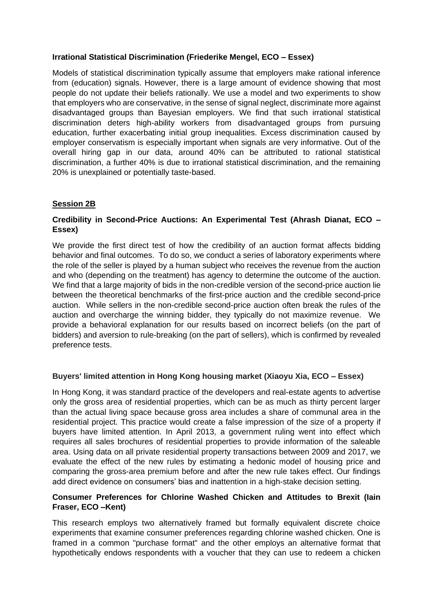## **Irrational Statistical Discrimination (Friederike Mengel, ECO – Essex)**

Models of statistical discrimination typically assume that employers make rational inference from (education) signals. However, there is a large amount of evidence showing that most people do not update their beliefs rationally. We use a model and two experiments to show that employers who are conservative, in the sense of signal neglect, discriminate more against disadvantaged groups than Bayesian employers. We find that such irrational statistical discrimination deters high-ability workers from disadvantaged groups from pursuing education, further exacerbating initial group inequalities. Excess discrimination caused by employer conservatism is especially important when signals are very informative. Out of the overall hiring gap in our data, around 40% can be attributed to rational statistical discrimination, a further 40% is due to irrational statistical discrimination, and the remaining 20% is unexplained or potentially taste-based.

## **Session 2B**

## **Credibility in Second-Price Auctions: An Experimental Test (Ahrash Dianat, ECO – Essex)**

We provide the first direct test of how the credibility of an auction format affects bidding behavior and final outcomes. To do so, we conduct a series of laboratory experiments where the role of the seller is played by a human subject who receives the revenue from the auction and who (depending on the treatment) has agency to determine the outcome of the auction. We find that a large majority of bids in the non-credible version of the second-price auction lie between the theoretical benchmarks of the first-price auction and the credible second-price auction. While sellers in the non-credible second-price auction often break the rules of the auction and overcharge the winning bidder, they typically do not maximize revenue. We provide a behavioral explanation for our results based on incorrect beliefs (on the part of bidders) and aversion to rule-breaking (on the part of sellers), which is confirmed by revealed preference tests.

# **Buyers' limited attention in Hong Kong housing market (Xiaoyu Xia, ECO – Essex)**

In Hong Kong, it was standard practice of the developers and real-estate agents to advertise only the gross area of residential properties, which can be as much as thirty percent larger than the actual living space because gross area includes a share of communal area in the residential project. This practice would create a false impression of the size of a property if buyers have limited attention. In April 2013, a government ruling went into effect which requires all sales brochures of residential properties to provide information of the saleable area. Using data on all private residential property transactions between 2009 and 2017, we evaluate the effect of the new rules by estimating a hedonic model of housing price and comparing the gross-area premium before and after the new rule takes effect. Our findings add direct evidence on consumers' bias and inattention in a high-stake decision setting.

## **Consumer Preferences for Chlorine Washed Chicken and Attitudes to Brexit (Iain Fraser, ECO –Kent)**

This research employs two alternatively framed but formally equivalent discrete choice experiments that examine consumer preferences regarding chlorine washed chicken. One is framed in a common "purchase format" and the other employs an alternative format that hypothetically endows respondents with a voucher that they can use to redeem a chicken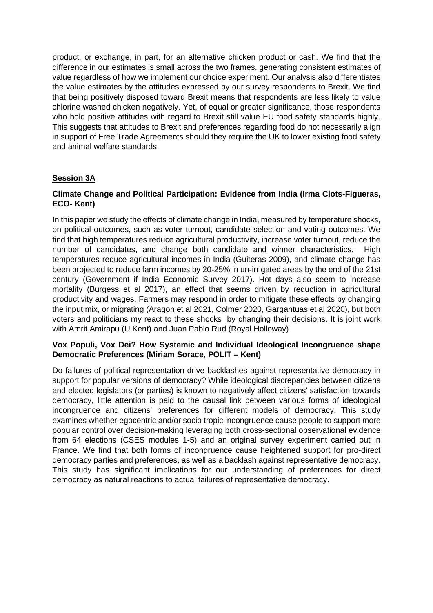product, or exchange, in part, for an alternative chicken product or cash. We find that the difference in our estimates is small across the two frames, generating consistent estimates of value regardless of how we implement our choice experiment. Our analysis also differentiates the value estimates by the attitudes expressed by our survey respondents to Brexit. We find that being positively disposed toward Brexit means that respondents are less likely to value chlorine washed chicken negatively. Yet, of equal or greater significance, those respondents who hold positive attitudes with regard to Brexit still value EU food safety standards highly. This suggests that attitudes to Brexit and preferences regarding food do not necessarily align in support of Free Trade Agreements should they require the UK to lower existing food safety and animal welfare standards.

# **Session 3A**

# **Climate Change and Political Participation: Evidence from India (Irma Clots-Figueras, ECO- Kent)**

In this paper we study the effects of climate change in India, measured by temperature shocks, on political outcomes, such as voter turnout, candidate selection and voting outcomes. We find that high temperatures reduce agricultural productivity, increase voter turnout, reduce the number of candidates, and change both candidate and winner characteristics. High temperatures reduce agricultural incomes in India (Guiteras 2009), and climate change has been projected to reduce farm incomes by 20-25% in un-irrigated areas by the end of the 21st century (Government if India Economic Survey 2017). Hot days also seem to increase mortality (Burgess et al 2017), an effect that seems driven by reduction in agricultural productivity and wages. Farmers may respond in order to mitigate these effects by changing the input mix, or migrating (Aragon et al 2021, Colmer 2020, Gargantuas et al 2020), but both voters and politicians my react to these shocks by changing their decisions. It is joint work with Amrit Amirapu (U Kent) and Juan Pablo Rud (Royal Holloway)

## **Vox Populi, Vox Dei? How Systemic and Individual Ideological Incongruence shape Democratic Preferences (Miriam Sorace, POLIT – Kent)**

Do failures of political representation drive backlashes against representative democracy in support for popular versions of democracy? While ideological discrepancies between citizens and elected legislators (or parties) is known to negatively affect citizens' satisfaction towards democracy, little attention is paid to the causal link between various forms of ideological incongruence and citizens' preferences for different models of democracy. This study examines whether egocentric and/or socio tropic incongruence cause people to support more popular control over decision-making leveraging both cross-sectional observational evidence from 64 elections (CSES modules 1-5) and an original survey experiment carried out in France. We find that both forms of incongruence cause heightened support for pro-direct democracy parties and preferences, as well as a backlash against representative democracy. This study has significant implications for our understanding of preferences for direct democracy as natural reactions to actual failures of representative democracy.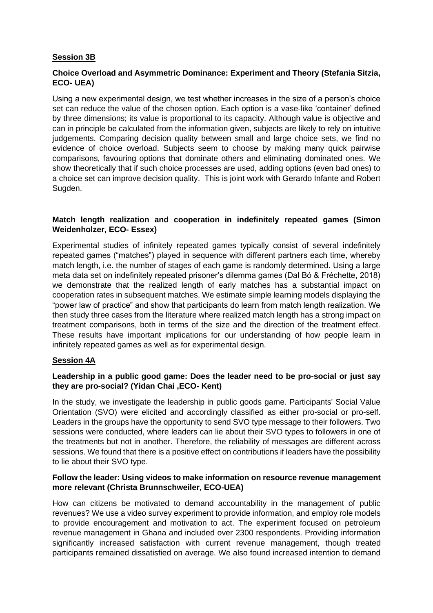## **Session 3B**

# **Choice Overload and Asymmetric Dominance: Experiment and Theory (Stefania Sitzia, ECO- UEA)**

Using a new experimental design, we test whether increases in the size of a person's choice set can reduce the value of the chosen option. Each option is a vase-like 'container' defined by three dimensions; its value is proportional to its capacity. Although value is objective and can in principle be calculated from the information given, subjects are likely to rely on intuitive judgements. Comparing decision quality between small and large choice sets, we find no evidence of choice overload. Subjects seem to choose by making many quick pairwise comparisons, favouring options that dominate others and eliminating dominated ones. We show theoretically that if such choice processes are used, adding options (even bad ones) to a choice set can improve decision quality. This is joint work with Gerardo Infante and Robert Sugden.

## **Match length realization and cooperation in indefinitely repeated games (Simon Weidenholzer, ECO- Essex)**

Experimental studies of infinitely repeated games typically consist of several indefinitely repeated games ("matches") played in sequence with different partners each time, whereby match length, i.e. the number of stages of each game is randomly determined. Using a large meta data set on indefinitely repeated prisoner's dilemma games (Dal Bó & Fréchette, 2018) we demonstrate that the realized length of early matches has a substantial impact on cooperation rates in subsequent matches. We estimate simple learning models displaying the "power law of practice" and show that participants do learn from match length realization. We then study three cases from the literature where realized match length has a strong impact on treatment comparisons, both in terms of the size and the direction of the treatment effect. These results have important implications for our understanding of how people learn in infinitely repeated games as well as for experimental design.

# **Session 4A**

## **Leadership in a public good game: Does the leader need to be pro-social or just say they are pro-social? (Yidan Chai ,ECO- Kent)**

In the study, we investigate the leadership in public goods game. Participants' Social Value Orientation (SVO) were elicited and accordingly classified as either pro-social or pro-self. Leaders in the groups have the opportunity to send SVO type message to their followers. Two sessions were conducted, where leaders can lie about their SVO types to followers in one of the treatments but not in another. Therefore, the reliability of messages are different across sessions. We found that there is a positive effect on contributions if leaders have the possibility to lie about their SVO type.

## **Follow the leader: Using videos to make information on resource revenue management more relevant (Christa Brunnschweiler, ECO-UEA)**

How can citizens be motivated to demand accountability in the management of public revenues? We use a video survey experiment to provide information, and employ role models to provide encouragement and motivation to act. The experiment focused on petroleum revenue management in Ghana and included over 2300 respondents. Providing information significantly increased satisfaction with current revenue management, though treated participants remained dissatisfied on average. We also found increased intention to demand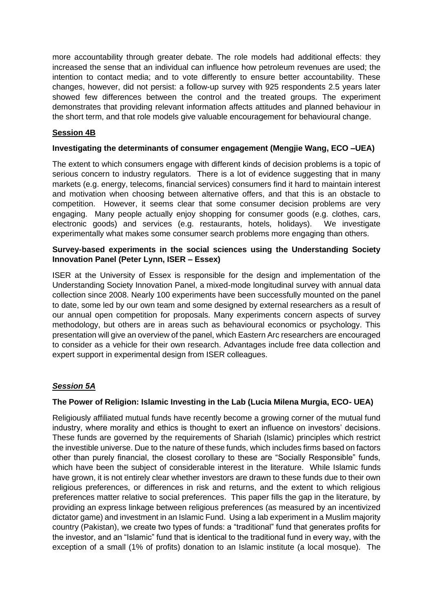more accountability through greater debate. The role models had additional effects: they increased the sense that an individual can influence how petroleum revenues are used; the intention to contact media; and to vote differently to ensure better accountability. These changes, however, did not persist: a follow-up survey with 925 respondents 2.5 years later showed few differences between the control and the treated groups. The experiment demonstrates that providing relevant information affects attitudes and planned behaviour in the short term, and that role models give valuable encouragement for behavioural change.

# **Session 4B**

## **Investigating the determinants of consumer engagement (Mengjie Wang, ECO –UEA)**

The extent to which consumers engage with different kinds of decision problems is a topic of serious concern to industry regulators. There is a lot of evidence suggesting that in many markets (e.g. energy, telecoms, financial services) consumers find it hard to maintain interest and motivation when choosing between alternative offers, and that this is an obstacle to competition. However, it seems clear that some consumer decision problems are very engaging. Many people actually enjoy shopping for consumer goods (e.g. clothes, cars, electronic goods) and services (e.g. restaurants, hotels, holidays). We investigate experimentally what makes some consumer search problems more engaging than others.

## **Survey-based experiments in the social sciences using the Understanding Society Innovation Panel (Peter Lynn, ISER – Essex)**

ISER at the University of Essex is responsible for the design and implementation of the Understanding Society Innovation Panel, a mixed-mode longitudinal survey with annual data collection since 2008. Nearly 100 experiments have been successfully mounted on the panel to date, some led by our own team and some designed by external researchers as a result of our annual open competition for proposals. Many experiments concern aspects of survey methodology, but others are in areas such as behavioural economics or psychology. This presentation will give an overview of the panel, which Eastern Arc researchers are encouraged to consider as a vehicle for their own research. Advantages include free data collection and expert support in experimental design from ISER colleagues.

## *Session 5A*

## **The Power of Religion: Islamic Investing in the Lab (Lucia Milena Murgia, ECO- UEA)**

Religiously affiliated mutual funds have recently become a growing corner of the mutual fund industry, where morality and ethics is thought to exert an influence on investors' decisions. These funds are governed by the requirements of Shariah (Islamic) principles which restrict the investible universe. Due to the nature of these funds, which includes firms based on factors other than purely financial, the closest corollary to these are "Socially Responsible" funds, which have been the subject of considerable interest in the literature. While Islamic funds have grown, it is not entirely clear whether investors are drawn to these funds due to their own religious preferences, or differences in risk and returns, and the extent to which religious preferences matter relative to social preferences. This paper fills the gap in the literature, by providing an express linkage between religious preferences (as measured by an incentivized dictator game) and investment in an Islamic Fund. Using a lab experiment in a Muslim majority country (Pakistan), we create two types of funds: a "traditional" fund that generates profits for the investor, and an "Islamic" fund that is identical to the traditional fund in every way, with the exception of a small (1% of profits) donation to an Islamic institute (a local mosque). The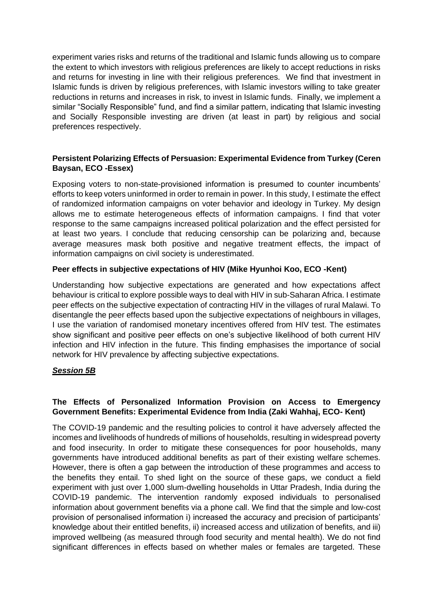experiment varies risks and returns of the traditional and Islamic funds allowing us to compare the extent to which investors with religious preferences are likely to accept reductions in risks and returns for investing in line with their religious preferences. We find that investment in Islamic funds is driven by religious preferences, with Islamic investors willing to take greater reductions in returns and increases in risk, to invest in Islamic funds. Finally, we implement a similar "Socially Responsible" fund, and find a similar pattern, indicating that Islamic investing and Socially Responsible investing are driven (at least in part) by religious and social preferences respectively.

## **Persistent Polarizing Effects of Persuasion: Experimental Evidence from Turkey (Ceren Baysan, ECO -Essex)**

Exposing voters to non-state-provisioned information is presumed to counter incumbents' efforts to keep voters uninformed in order to remain in power. In this study, I estimate the effect of randomized information campaigns on voter behavior and ideology in Turkey. My design allows me to estimate heterogeneous effects of information campaigns. I find that voter response to the same campaigns increased political polarization and the effect persisted for at least two years. I conclude that reducing censorship can be polarizing and, because average measures mask both positive and negative treatment effects, the impact of information campaigns on civil society is underestimated.

## **Peer effects in subjective expectations of HIV (Mike Hyunhoi Koo, ECO -Kent)**

Understanding how subjective expectations are generated and how expectations affect behaviour is critical to explore possible ways to deal with HIV in sub-Saharan Africa. I estimate peer effects on the subjective expectation of contracting HIV in the villages of rural Malawi. To disentangle the peer effects based upon the subjective expectations of neighbours in villages, I use the variation of randomised monetary incentives offered from HIV test. The estimates show significant and positive peer effects on one's subjective likelihood of both current HIV infection and HIV infection in the future. This finding emphasises the importance of social network for HIV prevalence by affecting subjective expectations.

## *Session 5B*

# **The Effects of Personalized Information Provision on Access to Emergency Government Benefits: Experimental Evidence from India (Zaki Wahhaj, ECO- Kent)**

The COVID-19 pandemic and the resulting policies to control it have adversely affected the incomes and livelihoods of hundreds of millions of households, resulting in widespread poverty and food insecurity. In order to mitigate these consequences for poor households, many governments have introduced additional benefits as part of their existing welfare schemes. However, there is often a gap between the introduction of these programmes and access to the benefits they entail. To shed light on the source of these gaps, we conduct a field experiment with just over 1,000 slum-dwelling households in Uttar Pradesh, India during the COVID-19 pandemic. The intervention randomly exposed individuals to personalised information about government benefits via a phone call. We find that the simple and low-cost provision of personalised information i) increased the accuracy and precision of participants' knowledge about their entitled benefits, ii) increased access and utilization of benefits, and iii) improved wellbeing (as measured through food security and mental health). We do not find significant differences in effects based on whether males or females are targeted. These